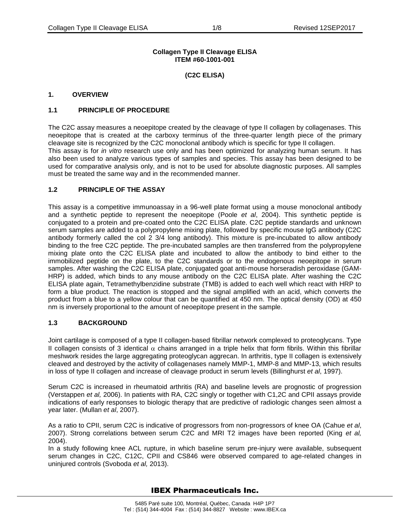## **Collagen Type II Cleavage ELISA ITEM #60-1001-001**

**(C2C ELISA)**

## **1. OVERVIEW**

## **1.1 PRINCIPLE OF PROCEDURE**

The C2C assay measures a neoepitope created by the cleavage of type II collagen by collagenases. This neoepitope that is created at the carboxy terminus of the three-quarter length piece of the primary cleavage site is recognized by the C2C monoclonal antibody which is specific for type II collagen. This assay is for *in vitro* research use only and has been optimized for analyzing human serum. It has also been used to analyze various types of samples and species. This assay has been designed to be used for comparative analysis only, and is not to be used for absolute diagnostic purposes. All samples must be treated the same way and in the recommended manner.

## **1.2 PRINCIPLE OF THE ASSAY**

This assay is a competitive immunoassay in a 96-well plate format using a mouse monoclonal antibody and a synthetic peptide to represent the neoepitope (Poole *et al*, 2004). This synthetic peptide is conjugated to a protein and pre-coated onto the C2C ELISA plate. C2C peptide standards and unknown serum samples are added to a polypropylene mixing plate, followed by specific mouse IgG antibody (C2C antibody formerly called the col 2 3/4 long antibody). This mixture is pre-incubated to allow antibody binding to the free C2C peptide. The pre-incubated samples are then transferred from the polypropylene mixing plate onto the C2C ELISA plate and incubated to allow the antibody to bind either to the immobilized peptide on the plate, to the C2C standards or to the endogenous neoepitope in serum samples. After washing the C2C ELISA plate, conjugated goat anti-mouse horseradish peroxidase (GAM-HRP) is added, which binds to any mouse antibody on the C2C ELISA plate. After washing the C2C ELISA plate again, Tetramethylbenzidine substrate (TMB) is added to each well which react with HRP to form a blue product. The reaction is stopped and the signal amplified with an acid, which converts the product from a blue to a yellow colour that can be quantified at 450 nm. The optical density (OD) at 450 nm is inversely proportional to the amount of neoepitope present in the sample.

## **1.3 BACKGROUND**

Joint cartilage is composed of a type II collagen-based fibrillar network complexed to proteoglycans. Type II collagen consists of 3 identical  $\alpha$  chains arranged in a triple helix that form fibrils. Within this fibrillar meshwork resides the large aggregating proteoglycan aggrecan. In arthritis, type II collagen is extensively cleaved and destroyed by the activity of collagenases namely MMP-1, MMP-8 and MMP-13, which results in loss of type II collagen and increase of cleavage product in serum levels (Billinghurst *et al*, 1997).

Serum C2C is increased in rheumatoid arthritis (RA) and baseline levels are prognostic of progression (Verstappen *et al,* 2006). In patients with RA, C2C singly or together with C1,2C and CPII assays provide indications of early responses to biologic therapy that are predictive of radiologic changes seen almost a year later. (Mullan *et al*, 2007).

As a ratio to CPII, serum C2C is indicative of progressors from non-progressors of knee OA (Cahue *et al*, 2007). Strong correlations between serum C2C and MRI T2 images have been reported (King *et al,*  2004).

In a study following knee ACL rupture, in which baseline serum pre-injury were available, subsequent serum changes in C2C, C12C, CPII and CS846 were observed compared to age-related changes in uninjured controls (Svoboda *et al,* 2013).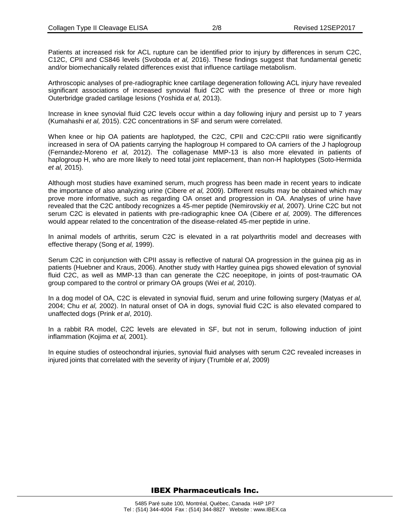Patients at increased risk for ACL rupture can be identified prior to injury by differences in serum C2C, C12C, CPII and CS846 levels (Svoboda *et al,* 2016). These findings suggest that fundamental genetic and/or biomechanically related differences exist that influence cartilage metabolism.

Arthroscopic analyses of pre-radiographic knee cartilage degeneration following ACL injury have revealed significant associations of increased synovial fluid C2C with the presence of three or more high Outerbridge graded cartilage lesions (Yoshida *et al,* 2013).

Increase in knee synovial fluid C2C levels occur within a day following injury and persist up to 7 years (Kumahashi *et al,* 2015). C2C concentrations in SF and serum were correlated.

When knee or hip OA patients are haplotyped, the C2C, CPII and C2C:CPII ratio were significantly increased in sera of OA patients carrying the haplogroup H compared to OA carriers of the J haplogroup (Fernandez-Moreno *et al,* 2012). The collagenase MMP-13 is also more elevated in patients of haplogroup H, who are more likely to need total joint replacement, than non-H haplotypes (Soto-Hermida *et al,* 2015).

Although most studies have examined serum, much progress has been made in recent years to indicate the importance of also analyzing urine (Cibere *et al,* 2009). Different results may be obtained which may prove more informative, such as regarding OA onset and progression in OA. Analyses of urine have revealed that the C2C antibody recognizes a 45-mer peptide (Nemirovskiy *et al,* 2007). Urine C2C but not serum C2C is elevated in patients with pre-radiographic knee OA (Cibere *et al,* 2009). The differences would appear related to the concentration of the disease-related 45-mer peptide in urine.

In animal models of arthritis, serum C2C is elevated in a rat polyarthritis model and decreases with effective therapy (Song *et al,* 1999).

Serum C2C in conjunction with CPII assay is reflective of natural OA progression in the guinea pig as in patients (Huebner and Kraus, 2006). Another study with Hartley guinea pigs showed elevation of synovial fluid C2C, as well as MMP-13 than can generate the C2C neoepitope, in joints of post-traumatic OA group compared to the control or primary OA groups (Wei *et al,* 2010).

In a dog model of OA, C2C is elevated in synovial fluid, serum and urine following surgery (Matyas *et al,*  2004; Chu *et al,* 2002). In natural onset of OA in dogs, synovial fluid C2C is also elevated compared to unaffected dogs (Prink *et al*, 2010).

In a rabbit RA model, C2C levels are elevated in SF, but not in serum, following induction of joint inflammation (Kojima *et al,* 2001).

In equine studies of osteochondral injuries, synovial fluid analyses with serum C2C revealed increases in injured joints that correlated with the severity of injury (Trumble *et al*, 2009)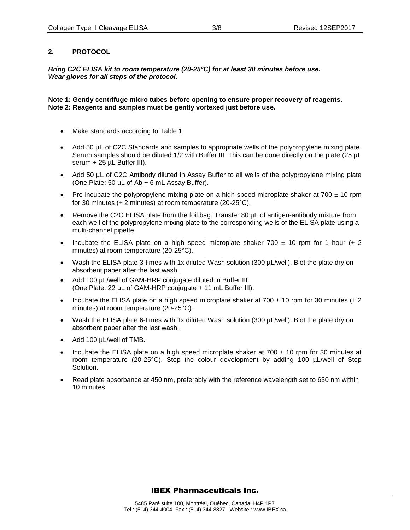## **2. PROTOCOL**

*Bring C2C ELISA kit to room temperature (20-25°C) for at least 30 minutes before use. Wear gloves for all steps of the protocol.*

**Note 1: Gently centrifuge micro tubes before opening to ensure proper recovery of reagents. Note 2: Reagents and samples must be gently vortexed just before use.**

- Make standards according to Table 1.
- Add 50 µL of C2C Standards and samples to appropriate wells of the polypropylene mixing plate. Serum samples should be diluted 1/2 with Buffer III. This can be done directly on the plate (25 µL serum + 25 µL Buffer III).
- Add 50 µL of C2C Antibody diluted in Assay Buffer to all wells of the polypropylene mixing plate (One Plate: 50 µL of Ab + 6 mL Assay Buffer).
- Pre-incubate the polypropylene mixing plate on a high speed microplate shaker at  $700 \pm 10$  rpm for 30 minutes ( $\pm$  2 minutes) at room temperature (20-25°C).
- Remove the C2C ELISA plate from the foil bag. Transfer 80 µL of antigen-antibody mixture from each well of the polypropylene mixing plate to the corresponding wells of the ELISA plate using a multi-channel pipette.
- Incubate the ELISA plate on a high speed microplate shaker 700  $\pm$  10 rpm for 1 hour ( $\pm$  2 minutes) at room temperature (20-25°C).
- Wash the ELISA plate 3-times with 1x diluted Wash solution (300 µL/well). Blot the plate dry on absorbent paper after the last wash.
- Add 100 µL/well of GAM-HRP conjugate diluted in Buffer III. (One Plate: 22 µL of GAM-HRP conjugate + 11 mL Buffer III).
- Incubate the ELISA plate on a high speed microplate shaker at 700  $\pm$  10 rpm for 30 minutes ( $\pm$  2 minutes) at room temperature (20-25°C).
- Wash the ELISA plate 6-times with 1x diluted Wash solution (300 µL/well). Blot the plate dry on absorbent paper after the last wash.
- Add 100 µL/well of TMB.
- Incubate the ELISA plate on a high speed microplate shaker at  $700 \pm 10$  rpm for 30 minutes at room temperature (20-25°C). Stop the colour development by adding 100 µL/well of Stop Solution.
- Read plate absorbance at 450 nm, preferably with the reference wavelength set to 630 nm within 10 minutes.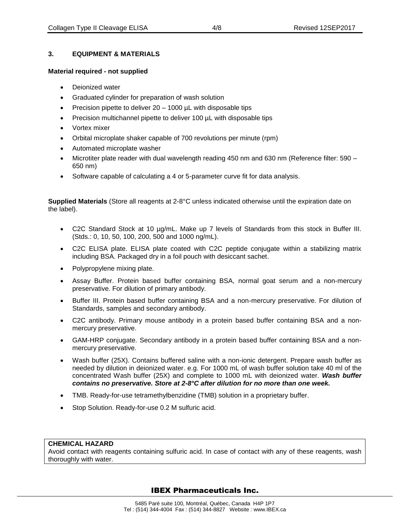# **3. EQUIPMENT & MATERIALS**

## **Material required - not supplied**

- Deionized water
- Graduated cylinder for preparation of wash solution
- Precision pipette to deliver 20 1000 µL with disposable tips
- Precision multichannel pipette to deliver 100 µL with disposable tips
- Vortex mixer
- Orbital microplate shaker capable of 700 revolutions per minute (rpm)
- Automated microplate washer
- Microtiter plate reader with dual wavelength reading 450 nm and 630 nm (Reference filter: 590 650 nm)
- Software capable of calculating a 4 or 5-parameter curve fit for data analysis.

**Supplied Materials** (Store all reagents at 2-8°C unless indicated otherwise until the expiration date on the label).

- C2C Standard Stock at 10 µg/mL. Make up 7 levels of Standards from this stock in Buffer III. (Stds.: 0, 10, 50, 100, 200, 500 and 1000 ng/mL).
- C2C ELISA plate. ELISA plate coated with C2C peptide conjugate within a stabilizing matrix including BSA. Packaged dry in a foil pouch with desiccant sachet.
- Polypropylene mixing plate.
- Assay Buffer. Protein based buffer containing BSA, normal goat serum and a non-mercury preservative. For dilution of primary antibody.
- Buffer III. Protein based buffer containing BSA and a non-mercury preservative. For dilution of Standards, samples and secondary antibody.
- C2C antibody. Primary mouse antibody in a protein based buffer containing BSA and a nonmercury preservative.
- GAM-HRP conjugate. Secondary antibody in a protein based buffer containing BSA and a nonmercury preservative.
- Wash buffer (25X). Contains buffered saline with a non-ionic detergent. Prepare wash buffer as needed by dilution in deionized water. e.g. For 1000 mL of wash buffer solution take 40 ml of the concentrated Wash buffer (25X) and complete to 1000 mL with deionized water. *Wash buffer contains no preservative. Store at 2-8°C after dilution for no more than one week.*
- TMB. Ready-for-use tetramethylbenzidine (TMB) solution in a proprietary buffer.
- Stop Solution. Ready-for-use 0.2 M sulfuric acid.

## **CHEMICAL HAZARD**

Avoid contact with reagents containing sulfuric acid. In case of contact with any of these reagents, wash thoroughly with water.

# IBEX Pharmaceuticals Inc.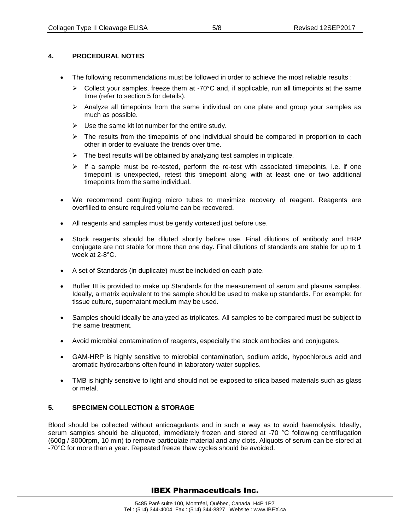# **4. PROCEDURAL NOTES**

- The following recommendations must be followed in order to achieve the most reliable results :
	- $\triangleright$  Collect your samples, freeze them at -70°C and, if applicable, run all timepoints at the same time (refer to section 5 for details).
	- $\triangleright$  Analyze all timepoints from the same individual on one plate and group your samples as much as possible.
	- $\triangleright$  Use the same kit lot number for the entire study.
	- $\triangleright$  The results from the timepoints of one individual should be compared in proportion to each other in order to evaluate the trends over time.
	- $\triangleright$  The best results will be obtained by analyzing test samples in triplicate.
	- $\triangleright$  If a sample must be re-tested, perform the re-test with associated timepoints, i.e. if one timepoint is unexpected, retest this timepoint along with at least one or two additional timepoints from the same individual.
- We recommend centrifuging micro tubes to maximize recovery of reagent. Reagents are overfilled to ensure required volume can be recovered.
- All reagents and samples must be gently vortexed just before use.
- Stock reagents should be diluted shortly before use. Final dilutions of antibody and HRP conjugate are not stable for more than one day. Final dilutions of standards are stable for up to 1 week at 2-8°C.
- A set of Standards (in duplicate) must be included on each plate.
- Buffer III is provided to make up Standards for the measurement of serum and plasma samples. Ideally, a matrix equivalent to the sample should be used to make up standards. For example: for tissue culture, supernatant medium may be used.
- Samples should ideally be analyzed as triplicates. All samples to be compared must be subject to the same treatment.
- Avoid microbial contamination of reagents, especially the stock antibodies and conjugates.
- GAM-HRP is highly sensitive to microbial contamination, sodium azide, hypochlorous acid and aromatic hydrocarbons often found in laboratory water supplies.
- TMB is highly sensitive to light and should not be exposed to silica based materials such as glass or metal.

## **5. SPECIMEN COLLECTION & STORAGE**

Blood should be collected without anticoagulants and in such a way as to avoid haemolysis. Ideally, serum samples should be aliquoted, immediately frozen and stored at -70 °C following centrifugation (600g / 3000rpm, 10 min) to remove particulate material and any clots. Aliquots of serum can be stored at -70°C for more than a year. Repeated freeze thaw cycles should be avoided.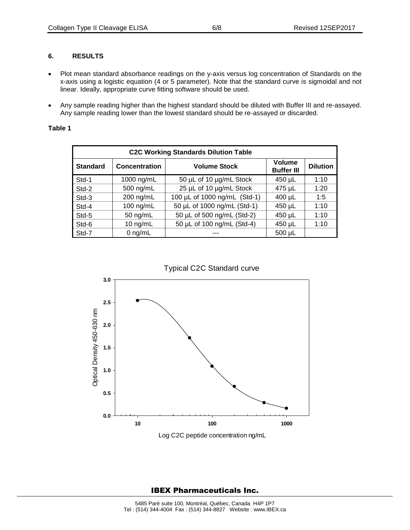## **6. RESULTS**

- Plot mean standard absorbance readings on the y-axis versus log concentration of Standards on the x-axis using a logistic equation (4 or 5 parameter). Note that the standard curve is sigmoidal and not linear. Ideally, appropriate curve fitting software should be used.
- Any sample reading higher than the highest standard should be diluted with Buffer III and re-assayed. Any sample reading lower than the lowest standard should be re-assayed or discarded.

## **Table 1**

| <b>C2C Working Standards Dilution Table</b> |                      |                              |                                    |                 |
|---------------------------------------------|----------------------|------------------------------|------------------------------------|-----------------|
| <b>Standard</b>                             | <b>Concentration</b> | <b>Volume Stock</b>          | <b>Volume</b><br><b>Buffer III</b> | <b>Dilution</b> |
| Std-1                                       | 1000 ng/mL           | 50 µL of 10 µg/mL Stock      | 450 µL                             | 1:10            |
| Std-2                                       | 500 ng/mL            | 25 µL of 10 µg/mL Stock      | 475 µL                             | 1:20            |
| Std-3                                       | $200$ ng/mL          | 100 µL of 1000 ng/mL (Std-1) | $400 \mu L$                        | 1:5             |
| Std-4                                       | 100 ng/mL            | 50 µL of 1000 ng/mL (Std-1)  | 450 µL                             | 1:10            |
| Std-5                                       | 50 $ng/mL$           | 50 µL of 500 ng/mL (Std-2)   | 450 µL                             | 1:10            |
| Std-6                                       | 10 $ng/mL$           | 50 µL of 100 ng/mL (Std-4)   | 450 µL                             | 1.10            |
| Std-7                                       | 0 $ng/mL$            |                              | $500 \mu L$                        |                 |



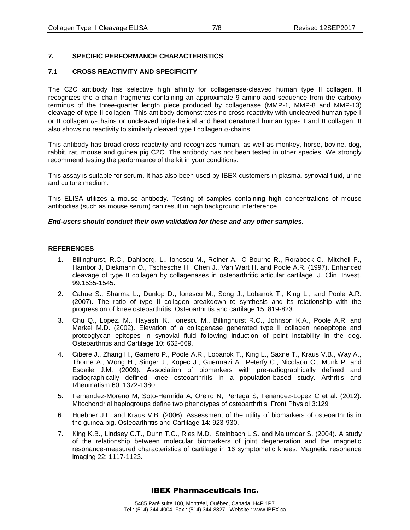# **7. SPECIFIC PERFORMANCE CHARACTERISTICS**

## **7.1 CROSS REACTIVITY AND SPECIFICITY**

The C2C antibody has selective high affinity for collagenase-cleaved human type II collagen. It recognizes the  $\alpha$ -chain fragments containing an approximate 9 amino acid sequence from the carboxy terminus of the three-quarter length piece produced by collagenase (MMP-1, MMP-8 and MMP-13) cleavage of type II collagen. This antibody demonstrates no cross reactivity with uncleaved human type I or II collagen  $\alpha$ -chains or uncleaved triple-helical and heat denatured human types I and II collagen. It also shows no reactivity to similarly cleaved type I collagen  $\alpha$ -chains.

This antibody has broad cross reactivity and recognizes human, as well as monkey, horse, bovine, dog, rabbit, rat, mouse and guinea pig C2C. The antibody has not been tested in other species. We strongly recommend testing the performance of the kit in your conditions.

This assay is suitable for serum. It has also been used by IBEX customers in plasma, synovial fluid, urine and culture medium.

This ELISA utilizes a mouse antibody. Testing of samples containing high concentrations of mouse antibodies (such as mouse serum) can result in high background interference.

## *End-users should conduct their own validation for these and any other samples.*

## **REFERENCES**

- 1. Billinghurst, R.C., Dahlberg, L., Ionescu M., Reiner A., C Bourne R., Rorabeck C., Mitchell P., Hambor J, Diekmann O., Tschesche H., Chen J., Van Wart H. and Poole A.R. (1997). Enhanced cleavage of type II collagen by collagenases in osteoarthritic articular cartilage. J. Clin. Invest. 99:1535-1545.
- 2. Cahue S., Sharma L., Dunlop D., Ionescu M., Song J., Lobanok T., King L., and Poole A.R. (2007). The ratio of type II collagen breakdown to synthesis and its relationship with the progression of knee osteoarthritis. Osteoarthritis and cartilage 15: 819-823.
- 3. Chu Q., Lopez. M., Hayashi K., Ionescu M., Billinghurst R.C., Johnson K.A., Poole A.R. and Markel M.D. (2002). Elevation of a collagenase generated type II collagen neoepitope and proteoglycan epitopes in synovial fluid following induction of point instability in the dog. Osteoarthritis and Cartilage 10: 662-669.
- 4. Cibere J., Zhang H., Garnero P., Poole A.R., Lobanok T., King L., Saxne T., Kraus V.B., Way A., Thorne A., Wong H., Singer J., Kopec J., Guermazi A., Peterfy C., Nicolaou C., Munk P. and Esdaile J.M. (2009). Association of biomarkers with pre-radiographically defined and radiographically defined knee osteoarthritis in a population-based study. Arthritis and Rheumatism 60: 1372-1380.
- 5. Fernandez-Moreno M, Soto-Hermida A, Oreiro N, Pertega S, Fenandez-Lopez C et al. (2012). Mitochondrial haplogroups define two phenotypes of osteoarthritis. Front Physiol 3:129
- 6. Huebner J.L. and Kraus V.B. (2006). Assessment of the utility of biomarkers of osteoarthritis in the guinea pig. Osteoarthritis and Cartilage 14: 923-930.
- 7. King K.B., Lindsey C.T., Dunn T.C., Ries M.D., Steinbach L.S. and Majumdar S. (2004). A study of the relationship between molecular biomarkers of joint degeneration and the magnetic resonance-measured characteristics of cartilage in 16 symptomatic knees. Magnetic resonance imaging 22: 1117-1123.